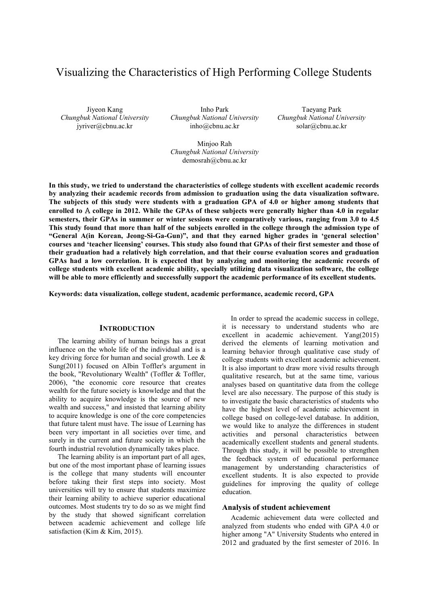# Visualizing the Characteristics of High Performing College Students

Jiyeon Kang *Chungbuk National University* jyriver@cbnu.ac.kr

Inho Park *Chungbuk National University* inho@cbnu.ac.kr

Taeyang Park *Chungbuk National University* solar@cbnu.ac.kr

Minjoo Rah *Chungbuk National University* demosrah@cbnu.ac.kr

**In this study, we tried to understand the characteristics of college students with excellent academic records by analyzing their academic records from admission to graduation using the data visualization software. The subjects of this study were students with a graduation GPA of 4.0 or higher among students that enrolled to** A **college in 2012. While the GPAs of these subjects were generally higher than 4.0 in regular semesters, their GPAs in summer or winter sessions were comparatively various, ranging from 3.0 to 4.5 This study found that more than half of the subjects enrolled in the college through the admission type of "General A(in Korean, Jeong-Si-Ga-Gun)", and that they earned higher grades in 'general selection' courses and 'teacher licensing' courses. This study also found that GPAs of their first semester and those of their graduation had a relatively high correlation, and that their course evaluation scores and graduation GPAs had a low correlation. It is expected that by analyzing and monitoring the academic records of college students with excellent academic ability, specially utilizing data visualization software, the college will be able to more efficiently and successfully support the academic performance of its excellent students.** 

**Keywords: data visualization, college student, academic performance, academic record, GPA** 

## **INTRODUCTION**

The learning ability of human beings has a great influence on the whole life of the individual and is a key driving force for human and social growth. Lee & Sung(2011) focused on Albin Toffler's argument in the book, "Revolutionary Wealth" (Toffler & Toffler, 2006), "the economic core resource that creates wealth for the future society is knowledge and that the ability to acquire knowledge is the source of new wealth and success," and insisted that learning ability to acquire knowledge is one of the core competencies that future talent must have. The issue of Learning has been very important in all societies over time, and surely in the current and future society in which the fourth industrial revolution dynamically takes place.

The learning ability is an important part of all ages, but one of the most important phase of learning issues is the college that many students will encounter before taking their first steps into society. Most universities will try to ensure that students maximize their learning ability to achieve superior educational outcomes. Most students try to do so as we might find by the study that showed significant correlation between academic achievement and college life satisfaction (Kim & Kim, 2015).

In order to spread the academic success in college, it is necessary to understand students who are excellent in academic achievement. Yang(2015) derived the elements of learning motivation and learning behavior through qualitative case study of college students with excellent academic achievement. It is also important to draw more vivid results through qualitative research, but at the same time, various analyses based on quantitative data from the college level are also necessary. The purpose of this study is to investigate the basic characteristics of students who have the highest level of academic achievement in college based on college-level database. In addition, we would like to analyze the differences in student activities and personal characteristics between academically excellent students and general students. Through this study, it will be possible to strengthen the feedback system of educational performance management by understanding characteristics of excellent students. It is also expected to provide guidelines for improving the quality of college education.

## **Analysis of student achievement**

Academic achievement data were collected and analyzed from students who ended with GPA 4.0 or higher among "A" University Students who entered in 2012 and graduated by the first semester of 2016. In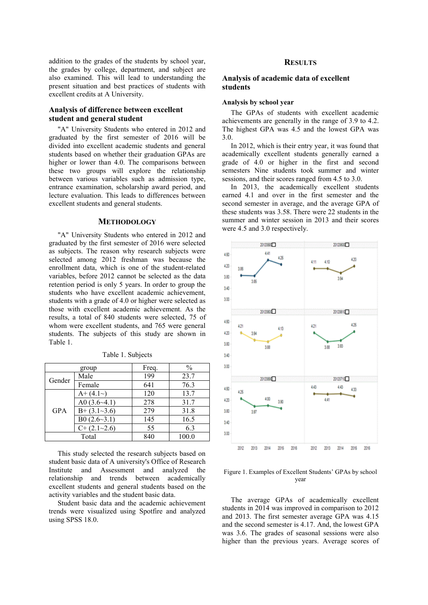addition to the grades of the students by school year, the grades by college, department, and subject are also examined. This will lead to understanding the present situation and best practices of students with excellent credits at A University.

# **Analysis of difference between excellent student and general student**

"A" University Students who entered in 2012 and graduated by the first semester of 2016 will be divided into excellent academic students and general students based on whether their graduation GPAs are higher or lower than 4.0. The comparisons between these two groups will explore the relationship between various variables such as admission type, entrance examination, scholarship award period, and lecture evaluation. This leads to differences between excellent students and general students.

#### **METHODOLOGY**

"A" University Students who entered in 2012 and graduated by the first semester of 2016 were selected as subjects. The reason why research subjects were selected among 2012 freshman was because the enrollment data, which is one of the student-related variables, before 2012 cannot be selected as the data retention period is only 5 years. In order to group the students who have excellent academic achievement, students with a grade of 4.0 or higher were selected as those with excellent academic achievement. As the results, a total of 840 students were selected, 75 of whom were excellent students, and 765 were general students. The subjects of this study are shown in Table 1.

| group      |                     | Freq. | $\frac{0}{0}$ |
|------------|---------------------|-------|---------------|
| Gender     | Male                | 199   | 23.7          |
|            | Female              | 641   | 76.3          |
| <b>GPA</b> | $A+ (4.1-)$         | 120   | 13.7          |
|            | A0 $(3.6-4.1)$      | 278   | 31.7          |
|            | $B+ (3.1-3.6)$      | 279   | 31.8          |
|            | B0 $(2.6 \sim 3.1)$ | 145   | 16.5          |
|            | $C+ (2.1-2.6)$      | 55    | 6.3           |
| Total      |                     | 840   | 100.0         |

Table 1. Subjects

This study selected the research subjects based on student basic data of A university's Office of Research Institute and Assessment and analyzed the relationship and trends between academically excellent students and general students based on the activity variables and the student basic data.

Student basic data and the academic achievement trends were visualized using Spotfire and analyzed using SPSS 18.0.

# **RESULTS**

# **Analysis of academic data of excellent students**

#### **Analysis by school year**

The GPAs of students with excellent academic achievements are generally in the range of 3.9 to 4.2. The highest GPA was 4.5 and the lowest GPA was 3.0.

In 2012, which is their entry year, it was found that academically excellent students generally earned a grade of 4.0 or higher in the first and second semesters Nine students took summer and winter sessions, and their scores ranged from 4.5 to 3.0.

In 2013, the academically excellent students earned 4.1 and over in the first semester and the second semester in average, and the average GPA of these students was 3.58. There were 22 students in the summer and winter session in 2013 and their scores were 4.5 and 3.0 respectively.



## Figure 1. Examples of Excellent Students' GPAs by school year

The average GPAs of academically excellent students in 2014 was improved in comparison to 2012 and 2013. The first semester average GPA was 4.15 and the second semester is 4.17. And, the lowest GPA was 3.6. The grades of seasonal sessions were also higher than the previous years. Average scores of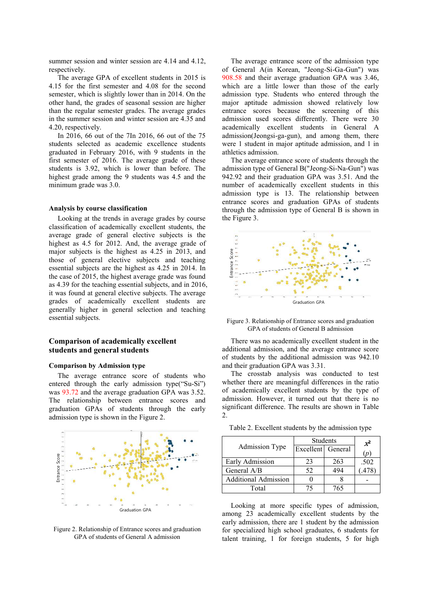summer session and winter session are 4.14 and 4.12, respectively.

The average GPA of excellent students in 2015 is 4.15 for the first semester and 4.08 for the second semester, which is slightly lower than in 2014. On the other hand, the grades of seasonal session are higher than the regular semester grades. The average grades in the summer session and winter session are 4.35 and 4.20, respectively.

In 2016, 66 out of the 7In 2016, 66 out of the 75 students selected as academic excellence students graduated in February 2016, with 9 students in the first semester of 2016. The average grade of these students is 3.92, which is lower than before. The highest grade among the 9 students was 4.5 and the minimum grade was 3.0.

## **Analysis by course classification**

Looking at the trends in average grades by course classification of academically excellent students, the average grade of general elective subjects is the highest as 4.5 for 2012. And, the average grade of major subjects is the highest as 4.25 in 2013, and those of general elective subjects and teaching essential subjects are the highest as 4.25 in 2014. In the case of 2015, the highest average grade was found as 4.39 for the teaching essential subjects, and in 2016, it was found at general elective subjects. The average grades of academically excellent students are generally higher in general selection and teaching essential subjects.

# **Comparison of academically excellent students and general students**

#### **Comparison by Admission type**

The average entrance score of students who entered through the early admission type("Su-Si") was 93.72 and the average graduation GPA was 3.52. The relationship between entrance scores and graduation GPAs of students through the early admission type is shown in the Figure 2.



Figure 2. Relationship of Entrance scores and graduation GPA of students of General A admission

The average entrance score of the admission type of General A(in Korean, "Jeong-Si-Ga-Gun") was 908.58 and their average graduation GPA was 3.46, which are a little lower than those of the early admission type. Students who entered through the major aptitude admission showed relatively low entrance scores because the screening of this admission used scores differently. There were 30 academically excellent students in General A admission(Jeongsi-ga-gun), and among them, there were 1 student in major aptitude admission, and 1 in athletics admission.

The average entrance score of students through the admission type of General B("Jeong-Si-Na-Gun") was 942.92 and their graduation GPA was 3.51. And the number of academically excellent students in this admission type is 13. The relationship between entrance scores and graduation GPAs of students through the admission type of General B is shown in the Figure 3.



Figure 3. Relationship of Entrance scores and graduation GPA of students of General B admission

There was no academically excellent student in the additional admission, and the average entrance score of students by the additional admission was 942.10 and their graduation GPA was 3.31.

The crosstab analysis was conducted to test whether there are meaningful differences in the ratio of academically excellent students by the type of admission. However, it turned out that there is no significant difference. The results are shown in Table 2.

|                             | <b>Students</b>   |     | $x^2$  |
|-----------------------------|-------------------|-----|--------|
| Admission Type              | Excellent General |     | (p     |
|                             |                   |     |        |
| Early Admission             | 23                | 263 | .502   |
| General A/B                 | 52                | 494 | (.478) |
| <b>Additional Admission</b> |                   |     |        |
| Total                       |                   | 765 |        |

Table 2. Excellent students by the admission type

Looking at more specific types of admission, among 23 academically excellent students by the early admission, there are 1 student by the admission for specialized high school graduates, 6 students for talent training, 1 for foreign students, 5 for high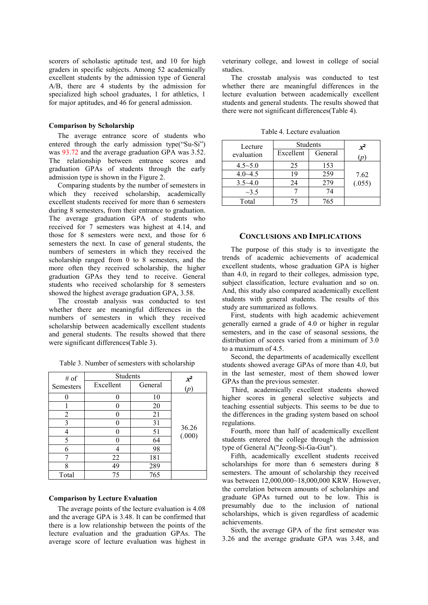scorers of scholastic aptitude test, and 10 for high graders in specific subjects. Among 52 academically excellent students by the admission type of General A/B, there are 4 students by the admission for specialized high school graduates, 1 for athletics, 1 for major aptitudes, and 46 for general admission.

#### **Comparison by Scholarship**

The average entrance score of students who entered through the early admission type("Su-Si") was 93.72 and the average graduation GPA was 3.52. The relationship between entrance scores and graduation GPAs of students through the early admission type is shown in the Figure 2.

Comparing students by the number of semesters in which they received scholarship, academically excellent students received for more than 6 semesters during 8 semesters, from their entrance to graduation. The average graduation GPA of students who received for 7 semesters was highest at 4.14, and those for 8 semesters were next, and those for 6 semesters the next. In case of general students, the numbers of semesters in which they received the scholarship ranged from 0 to 8 semesters, and the more often they received scholarship, the higher graduation GPAs they tend to receive. General students who received scholarship for 8 semesters showed the highest average graduation GPA, 3.58.

The crosstab analysis was conducted to test whether there are meaningful differences in the numbers of semesters in which they received scholarship between academically excellent students and general students. The results showed that there were significant differences(Table 3).

| # of      | Students  |         |                 |
|-----------|-----------|---------|-----------------|
| Semesters | Excellent | General | $\frac{x^2}{p}$ |
|           |           | 10      |                 |
|           |           | 20      |                 |
| 2         |           | 21      |                 |
| 3         | 0         | 31      |                 |
|           | 0         | 51      | 36.26<br>(.000) |
| 5         | 0         | 64      |                 |
| 6         | 4         | 98      |                 |
|           | 22        | 181     |                 |
| 8         | 49        | 289     |                 |
| Total     | 75        | 765     |                 |

Table 3. Number of semesters with scholarship

## **Comparison by Lecture Evaluation**

The average points of the lecture evaluation is 4.08 and the average GPA is 3.48. It can be confirmed that there is a low relationship between the points of the lecture evaluation and the graduation GPAs. The average score of lecture evaluation was highest in veterinary college, and lowest in college of social studies.

The crosstab analysis was conducted to test whether there are meaningful differences in the lecture evaluation between academically excellent students and general students. The results showed that there were not significant differences(Table 4).

| Lecture     | <b>Students</b> |         | $X^2$         |
|-------------|-----------------|---------|---------------|
| evaluation  | Excellent       | General | $\mathcal{D}$ |
| $4.5 - 5.0$ | 25              | 153     |               |
| $4.0 - 4.5$ | 19              | 259     | 7.62          |
| $3.5 - 4.0$ | 24              | 279     | (.055)        |
| $\sim$ 3.5  |                 | 74      |               |
| Total       | 75              | 765     |               |

Table 4. Lecture evaluation

#### **CONCLUSIONS AND IMPLICATIONS**

The purpose of this study is to investigate the trends of academic achievements of academical excellent students, whose graduation GPA is higher than 4.0, in regard to their colleges, admission type, subject classification, lecture evaluation and so on. And, this study also compared academically excellent students with general students. The results of this study are summarized as follows.

First, students with high academic achievement generally earned a grade of 4.0 or higher in regular semesters, and in the case of seasonal sessions, the distribution of scores varied from a minimum of 3.0 to a maximum of 4.5.

Second, the departments of academically excellent students showed average GPAs of more than 4.0, but in the last semester, most of them showed lower GPAs than the previous semester.

Third, academically excellent students showed higher scores in general selective subjects and teaching essential subjects. This seems to be due to the differences in the grading system based on school regulations.

Fourth, more than half of academically excellent students entered the college through the admission type of General A("Jeong-Si-Ga-Gun").

Fifth, academically excellent students received scholarships for more than 6 semesters during 8 semesters. The amount of scholarship they received was between 12,000,000~18,000,000 KRW. However, the correlation between amounts of scholarships and graduate GPAs turned out to be low. This is presumably due to the inclusion of national scholarships, which is given regardless of academic achievements.

Sixth, the average GPA of the first semester was 3.26 and the average graduate GPA was 3.48, and